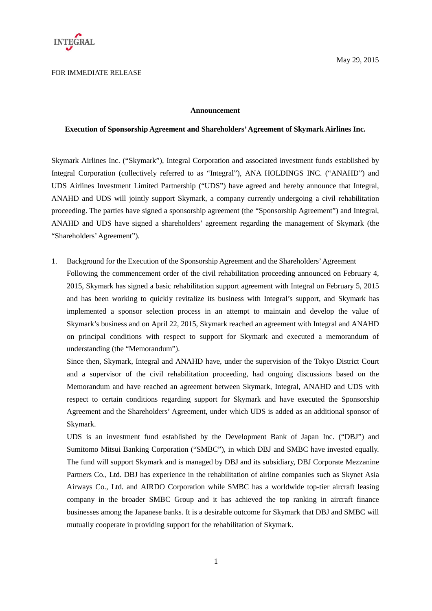

### FOR IMMEDIATE RELEASE

understanding (the "Memorandum").

#### **Announcement**

### **Execution of Sponsorship Agreement and Shareholders' Agreement of Skymark Airlines Inc.**

Skymark Airlines Inc. ("Skymark"), Integral Corporation and associated investment funds established by Integral Corporation (collectively referred to as "Integral"), ANA HOLDINGS INC. ("ANAHD") and UDS Airlines Investment Limited Partnership ("UDS") have agreed and hereby announce that Integral, ANAHD and UDS will jointly support Skymark, a company currently undergoing a civil rehabilitation proceeding. The parties have signed a sponsorship agreement (the "Sponsorship Agreement") and Integral, ANAHD and UDS have signed a shareholders' agreement regarding the management of Skymark (the "Shareholders' Agreement").

1. Background for the Execution of the Sponsorship Agreement and the Shareholders' Agreement Following the commencement order of the civil rehabilitation proceeding announced on February 4, 2015, Skymark has signed a basic rehabilitation support agreement with Integral on February 5, 2015 and has been working to quickly revitalize its business with Integral's support, and Skymark has implemented a sponsor selection process in an attempt to maintain and develop the value of Skymark's business and on April 22, 2015, Skymark reached an agreement with Integral and ANAHD on principal conditions with respect to support for Skymark and executed a memorandum of

Since then, Skymark, Integral and ANAHD have, under the supervision of the Tokyo District Court and a supervisor of the civil rehabilitation proceeding, had ongoing discussions based on the Memorandum and have reached an agreement between Skymark, Integral, ANAHD and UDS with respect to certain conditions regarding support for Skymark and have executed the Sponsorship Agreement and the Shareholders' Agreement, under which UDS is added as an additional sponsor of Skymark.

UDS is an investment fund established by the Development Bank of Japan Inc. ("DBJ") and Sumitomo Mitsui Banking Corporation ("SMBC"), in which DBJ and SMBC have invested equally. The fund will support Skymark and is managed by DBJ and its subsidiary, DBJ Corporate Mezzanine Partners Co., Ltd. DBJ has experience in the rehabilitation of airline companies such as Skynet Asia Airways Co., Ltd. and AIRDO Corporation while SMBC has a worldwide top-tier aircraft leasing company in the broader SMBC Group and it has achieved the top ranking in aircraft finance businesses among the Japanese banks. It is a desirable outcome for Skymark that DBJ and SMBC will mutually cooperate in providing support for the rehabilitation of Skymark.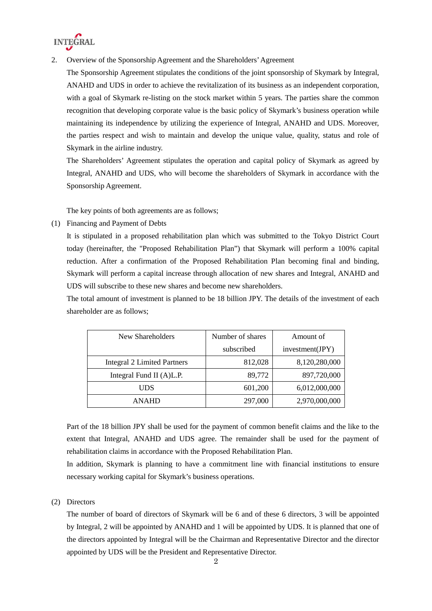

2. Overview of the Sponsorship Agreement and the Shareholders' Agreement

The Sponsorship Agreement stipulates the conditions of the joint sponsorship of Skymark by Integral, ANAHD and UDS in order to achieve the revitalization of its business as an independent corporation, with a goal of Skymark re-listing on the stock market within 5 years. The parties share the common recognition that developing corporate value is the basic policy of Skymark's business operation while maintaining its independence by utilizing the experience of Integral, ANAHD and UDS. Moreover, the parties respect and wish to maintain and develop the unique value, quality, status and role of Skymark in the airline industry.

The Shareholders' Agreement stipulates the operation and capital policy of Skymark as agreed by Integral, ANAHD and UDS, who will become the shareholders of Skymark in accordance with the Sponsorship Agreement.

The key points of both agreements are as follows;

(1) Financing and Payment of Debts

It is stipulated in a proposed rehabilitation plan which was submitted to the Tokyo District Court today (hereinafter, the "Proposed Rehabilitation Plan") that Skymark will perform a 100% capital reduction. After a confirmation of the Proposed Rehabilitation Plan becoming final and binding, Skymark will perform a capital increase through allocation of new shares and Integral, ANAHD and UDS will subscribe to these new shares and become new shareholders.

The total amount of investment is planned to be 18 billion JPY. The details of the investment of each shareholder are as follows;

| New Shareholders                   | Number of shares | Amount of       |
|------------------------------------|------------------|-----------------|
|                                    | subscribed       | investment(JPY) |
| <b>Integral 2 Limited Partners</b> | 812,028          | 8,120,280,000   |
| Integral Fund II $(A)$ L.P.        | 89,772           | 897,720,000     |
| UDS                                | 601,200          | 6,012,000,000   |
| ANAHD                              | 297,000          | 2,970,000,000   |

Part of the 18 billion JPY shall be used for the payment of common benefit claims and the like to the extent that Integral, ANAHD and UDS agree. The remainder shall be used for the payment of rehabilitation claims in accordance with the Proposed Rehabilitation Plan.

In addition, Skymark is planning to have a commitment line with financial institutions to ensure necessary working capital for Skymark's business operations.

## (2) Directors

The number of board of directors of Skymark will be 6 and of these 6 directors, 3 will be appointed by Integral, 2 will be appointed by ANAHD and 1 will be appointed by UDS. It is planned that one of the directors appointed by Integral will be the Chairman and Representative Director and the director appointed by UDS will be the President and Representative Director.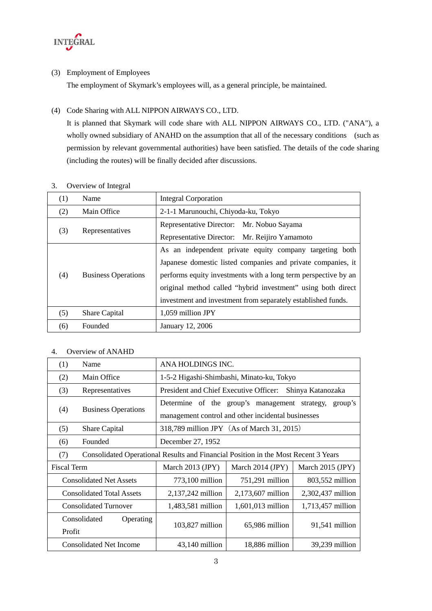

(3) Employment of Employees

The employment of Skymark's employees will, as a general principle, be maintained.

## (4) Code Sharing with ALL NIPPON AIRWAYS CO., LTD.

It is planned that Skymark will code share with ALL NIPPON AIRWAYS CO., LTD. ("ANA"), a wholly owned subsidiary of ANAHD on the assumption that all of the necessary conditions (such as permission by relevant governmental authorities) have been satisfied. The details of the code sharing (including the routes) will be finally decided after discussions.

| 3. |  | Overview of Integral |
|----|--|----------------------|
|----|--|----------------------|

| (1)                               | Name                                                           | <b>Integral Corporation</b>                                  |
|-----------------------------------|----------------------------------------------------------------|--------------------------------------------------------------|
| (2)                               | Main Office                                                    | 2-1-1 Marunouchi, Chiyoda-ku, Tokyo                          |
| Representatives<br>(3)            |                                                                | Representative Director: Mr. Nobuo Sayama                    |
|                                   |                                                                | Representative Director: Mr. Reijiro Yamamoto                |
| (4)<br><b>Business Operations</b> | As an independent private equity company targeting both        |                                                              |
|                                   |                                                                | Japanese domestic listed companies and private companies, it |
|                                   | performs equity investments with a long term perspective by an |                                                              |
|                                   |                                                                | original method called "hybrid investment" using both direct |
|                                   |                                                                | investment and investment from separately established funds. |
| (5)                               | <b>Share Capital</b>                                           | $1,059$ million JPY                                          |
| (6)                               | Founded                                                        | January 12, 2006                                             |

## 4. Overview of ANAHD

| (1)                                                                                       | Name                                                         | ANA HOLDINGS INC.                                           |                                               |                   |
|-------------------------------------------------------------------------------------------|--------------------------------------------------------------|-------------------------------------------------------------|-----------------------------------------------|-------------------|
| (2)                                                                                       | Main Office                                                  | 1-5-2 Higashi-Shimbashi, Minato-ku, Tokyo                   |                                               |                   |
| (3)                                                                                       | Representatives                                              | President and Chief Executive Officer:<br>Shinya Katanozaka |                                               |                   |
| (4)                                                                                       | <b>Business Operations</b>                                   |                                                             | Determine of the group's management strategy, | group's           |
|                                                                                           |                                                              | management control and other incidental businesses          |                                               |                   |
| (5)                                                                                       | Share Capital                                                | 318,789 million JPY (As of March 31, 2015)                  |                                               |                   |
| (6)                                                                                       | Founded                                                      | December 27, 1952                                           |                                               |                   |
| Consolidated Operational Results and Financial Position in the Most Recent 3 Years<br>(7) |                                                              |                                                             |                                               |                   |
|                                                                                           | <b>Fiscal Term</b><br>March 2014 (JPY)<br>March $2013$ (JPY) |                                                             | March 2015 (JPY)                              |                   |
|                                                                                           | <b>Consolidated Net Assets</b>                               | 773,100 million                                             | 751,291 million                               | 803,552 million   |
|                                                                                           | <b>Consolidated Total Assets</b>                             | 2,137,242 million                                           | 2,173,607 million                             | 2,302,437 million |
|                                                                                           | <b>Consolidated Turnover</b>                                 | 1,483,581 million                                           | 1,601,013 million                             | 1,713,457 million |
|                                                                                           | Consolidated<br>Operating                                    |                                                             | 65,986 million                                |                   |
| Profit                                                                                    |                                                              | $103,827$ million                                           |                                               | 91,541 million    |
|                                                                                           | <b>Consolidated Net Income</b>                               | 43,140 million                                              | 18,886 million                                | 39,239 million    |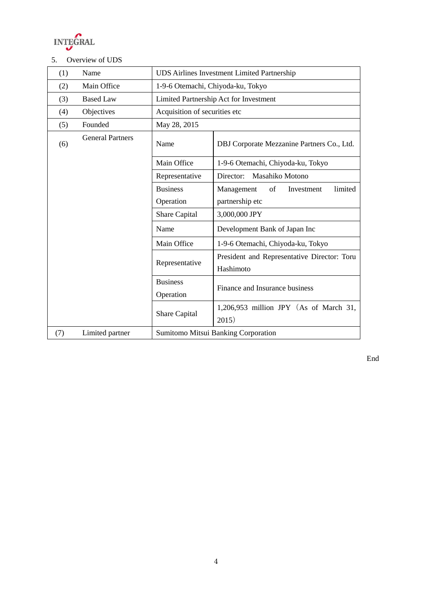

# 5. Overview of UDS

| (1) | Name                    | <b>UDS Airlines Investment Limited Partnership</b> |                                            |
|-----|-------------------------|----------------------------------------------------|--------------------------------------------|
| (2) | Main Office             | 1-9-6 Otemachi, Chiyoda-ku, Tokyo                  |                                            |
| (3) | <b>Based Law</b>        | Limited Partnership Act for Investment             |                                            |
| (4) | Objectives              | Acquisition of securities etc                      |                                            |
| (5) | Founded                 | May 28, 2015                                       |                                            |
| (6) | <b>General Partners</b> | Name                                               | DBJ Corporate Mezzanine Partners Co., Ltd. |
|     |                         | Main Office                                        | 1-9-6 Otemachi, Chiyoda-ku, Tokyo          |
|     |                         | Representative                                     | Director:<br>Masahiko Motono               |
|     |                         | <b>Business</b>                                    | Management<br>of<br>limited<br>Investment  |
|     |                         | Operation                                          | partnership etc                            |
|     |                         | <b>Share Capital</b>                               | 3,000,000 JPY                              |
|     |                         | Name                                               | Development Bank of Japan Inc              |
|     |                         | Main Office                                        | 1-9-6 Otemachi, Chiyoda-ku, Tokyo          |
|     | Representative          | President and Representative Director: Toru        |                                            |
|     |                         | Hashimoto                                          |                                            |
|     | <b>Business</b>         | Finance and Insurance business                     |                                            |
|     |                         | Operation                                          |                                            |
|     | Share Capital           | 1,206,953 million JPY (As of March 31,             |                                            |
|     |                         | 2015)                                              |                                            |
| (7) | Limited partner         | Sumitomo Mitsui Banking Corporation                |                                            |

End